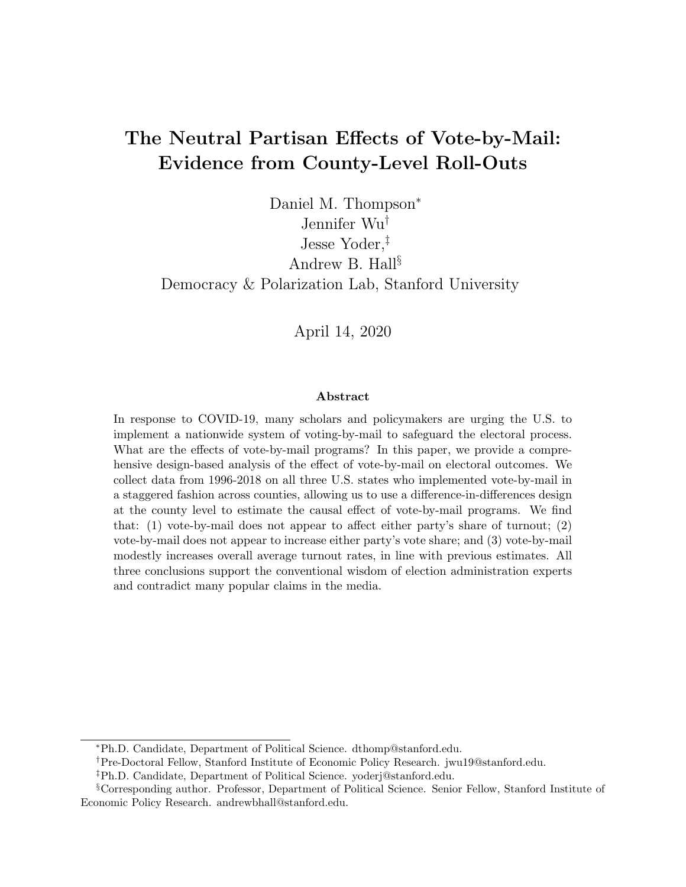# The Neutral Partisan Effects of Vote-by-Mail: Evidence from County-Level Roll-Outs

Daniel M. Thompson<sup>∗</sup> Jennifer Wu† Jesse Yoder,‡ Andrew B. Hall§ Democracy & Polarization Lab, Stanford University

April 14, 2020

#### Abstract

In response to COVID-19, many scholars and policymakers are urging the U.S. to implement a nationwide system of voting-by-mail to safeguard the electoral process. What are the effects of vote-by-mail programs? In this paper, we provide a comprehensive design-based analysis of the effect of vote-by-mail on electoral outcomes. We collect data from 1996-2018 on all three U.S. states who implemented vote-by-mail in a staggered fashion across counties, allowing us to use a difference-in-differences design at the county level to estimate the causal effect of vote-by-mail programs. We find that: (1) vote-by-mail does not appear to affect either party's share of turnout; (2) vote-by-mail does not appear to increase either party's vote share; and (3) vote-by-mail modestly increases overall average turnout rates, in line with previous estimates. All three conclusions support the conventional wisdom of election administration experts and contradict many popular claims in the media.

<sup>∗</sup>Ph.D. Candidate, Department of Political Science. dthomp@stanford.edu.

<sup>†</sup>Pre-Doctoral Fellow, Stanford Institute of Economic Policy Research. jwu19@stanford.edu.

<sup>‡</sup>Ph.D. Candidate, Department of Political Science. yoderj@stanford.edu.

<sup>§</sup>Corresponding author. Professor, Department of Political Science. Senior Fellow, Stanford Institute of Economic Policy Research. andrewbhall@stanford.edu.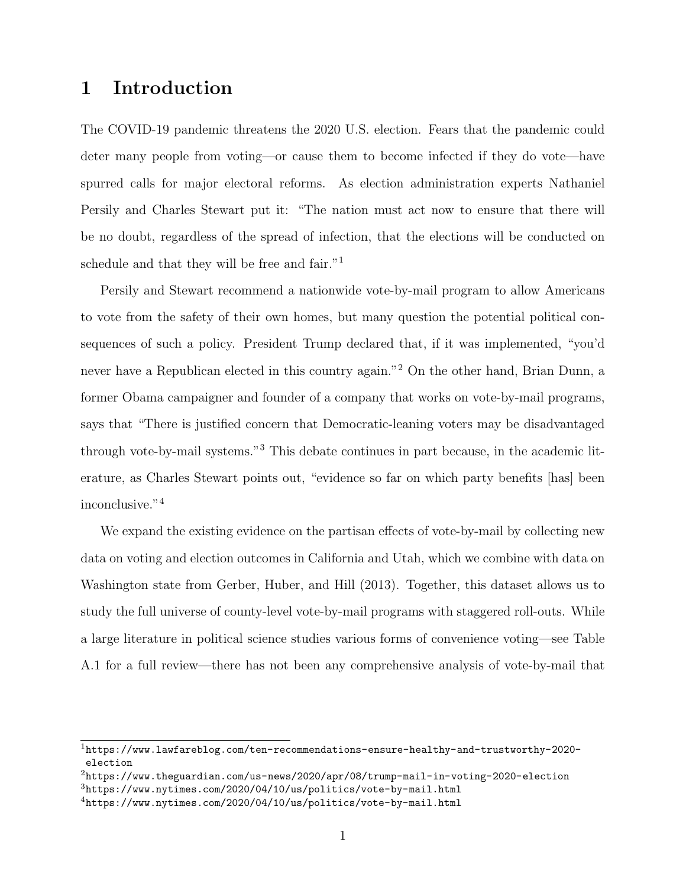### <span id="page-1-4"></span>1 Introduction

The COVID-19 pandemic threatens the 2020 U.S. election. Fears that the pandemic could deter many people from voting—or cause them to become infected if they do vote—have spurred calls for major electoral reforms. As election administration experts Nathaniel Persily and Charles Stewart put it: "The nation must act now to ensure that there will be no doubt, regardless of the spread of infection, that the elections will be conducted on schedule and that they will be free and fair."<sup>[1](#page-1-0)</sup>

Persily and Stewart recommend a nationwide vote-by-mail program to allow Americans to vote from the safety of their own homes, but many question the potential political consequences of such a policy. President Trump declared that, if it was implemented, "you'd never have a Republican elected in this country again."[2](#page-1-1) On the other hand, Brian Dunn, a former Obama campaigner and founder of a company that works on vote-by-mail programs, says that "There is justified concern that Democratic-leaning voters may be disadvantaged through vote-by-mail systems."[3](#page-1-2) This debate continues in part because, in the academic literature, as Charles Stewart points out, "evidence so far on which party benefits [has] been inconclusive."[4](#page-1-3)

We expand the existing evidence on the partisan effects of vote-by-mail by collecting new data on voting and election outcomes in California and Utah, which we combine with data on Washington state from [Gerber, Huber, and Hill](#page-15-0) [\(2013\)](#page-15-0). Together, this dataset allows us to study the full universe of county-level vote-by-mail programs with staggered roll-outs. While a large literature in political science studies various forms of convenience voting—see Table A.1 for a full review—there has not been any comprehensive analysis of vote-by-mail that

<span id="page-1-0"></span> $1$ [https://www.lawfareblog.com/ten-recommendations-ensure-healthy-and-trustworthy-2020](https://www.lawfareblog.com/ten-recommendations-ensure-healthy-and-trustworthy-2020-election) [election](https://www.lawfareblog.com/ten-recommendations-ensure-healthy-and-trustworthy-2020-election)

<span id="page-1-1"></span><sup>2</sup><https://www.theguardian.com/us-news/2020/apr/08/trump-mail-in-voting-2020-election>

<span id="page-1-2"></span> $3$ <https://www.nytimes.com/2020/04/10/us/politics/vote-by-mail.html>

<span id="page-1-3"></span> $4$ <https://www.nytimes.com/2020/04/10/us/politics/vote-by-mail.html>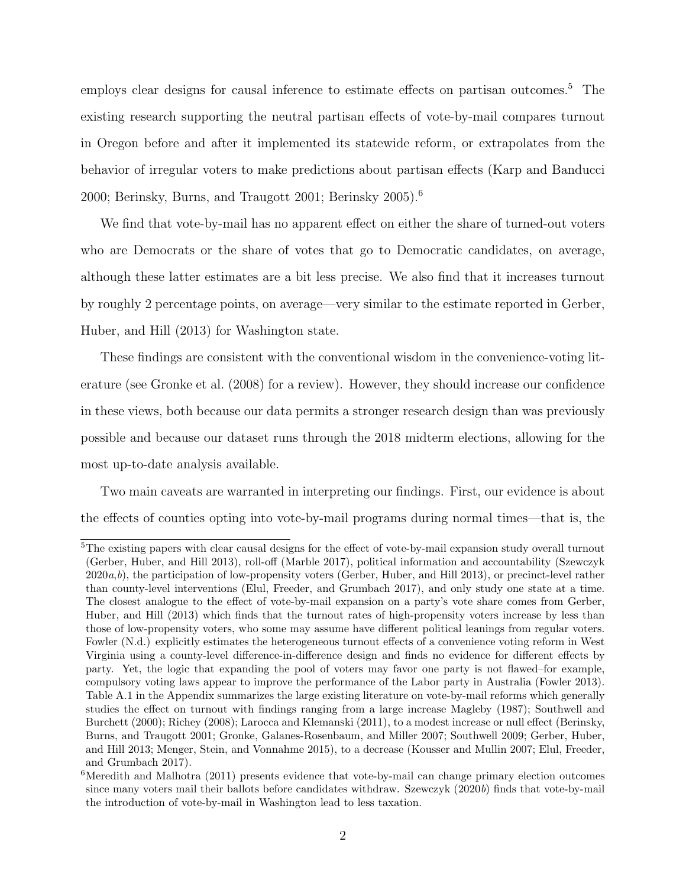employs clear designs for causal inference to estimate effects on partisan outcomes.<sup>[5](#page-2-0)</sup> The existing research supporting the neutral partisan effects of vote-by-mail compares turnout in Oregon before and after it implemented its statewide reform, or extrapolates from the behavior of irregular voters to make predictions about partisan effects [\(Karp and Banducci](#page-15-1) [2000;](#page-15-1) [Berinsky, Burns, and Traugott](#page-15-2) [2001;](#page-15-2) [Berinsky](#page-15-3) [2005\)](#page-15-3).[6](#page-2-1)

We find that vote-by-mail has no apparent effect on either the share of turned-out voters who are Democrats or the share of votes that go to Democratic candidates, on average, although these latter estimates are a bit less precise. We also find that it increases turnout by roughly 2 percentage points, on average—very similar to the estimate reported in [Gerber,](#page-15-0) [Huber, and Hill](#page-15-0) [\(2013\)](#page-15-0) for Washington state.

These findings are consistent with the conventional wisdom in the convenience-voting literature (see [Gronke et al.](#page-15-4) [\(2008\)](#page-15-4) for a review). However, they should increase our confidence in these views, both because our data permits a stronger research design than was previously possible and because our dataset runs through the 2018 midterm elections, allowing for the most up-to-date analysis available.

Two main caveats are warranted in interpreting our findings. First, our evidence is about the effects of counties opting into vote-by-mail programs during normal times—that is, the

<span id="page-2-0"></span><sup>5</sup>The existing papers with clear causal designs for the effect of vote-by-mail expansion study overall turnout [\(Gerber, Huber, and Hill](#page-15-0) [2013\)](#page-15-0), roll-off [\(Marble](#page-16-0) [2017\)](#page-16-0), political information and accountability [\(Szewczyk](#page-16-1)  $2020a, b$  $2020a, b$  $2020a, b$ , the participation of low-propensity voters [\(Gerber, Huber, and Hill](#page-15-0) [2013\)](#page-15-0), or precinct-level rather than county-level interventions [\(Elul, Freeder, and Grumbach](#page-15-5) [2017\)](#page-15-5), and only study one state at a time. The closest analogue to the effect of vote-by-mail expansion on a party's vote share comes from [Gerber,](#page-15-0) [Huber, and Hill](#page-15-0) [\(2013\)](#page-15-0) which finds that the turnout rates of high-propensity voters increase by less than those of low-propensity voters, who some may assume have different political leanings from regular voters. [Fowler](#page-15-6) [\(N.d.\)](#page-15-6) explicitly estimates the heterogeneous turnout effects of a convenience voting reform in West Virginia using a county-level difference-in-difference design and finds no evidence for different effects by party. Yet, the logic that expanding the pool of voters may favor one party is not flawed–for example, compulsory voting laws appear to improve the performance of the Labor party in Australia [\(Fowler](#page-15-7) [2013\)](#page-15-7). Table [A.1](#page-18-0) in the Appendix summarizes the large existing literature on vote-by-mail reforms which generally studies the effect on turnout with findings ranging from a large increase [Magleby](#page-15-8) [\(1987\)](#page-15-8); [Southwell and](#page-16-3) [Burchett](#page-16-3) [\(2000\)](#page-16-3); [Richey](#page-16-4) [\(2008\)](#page-16-4); [Larocca and Klemanski](#page-15-9) [\(2011\)](#page-15-9), to a modest increase or null effect [\(Berinsky,](#page-15-2) [Burns, and Traugott](#page-15-2) [2001;](#page-15-2) [Gronke, Galanes-Rosenbaum, and Miller](#page-15-10) [2007;](#page-15-10) [Southwell](#page-16-5) [2009;](#page-16-5) [Gerber, Huber,](#page-15-0) [and Hill](#page-15-0) [2013;](#page-15-0) [Menger, Stein, and Vonnahme](#page-16-6) [2015\)](#page-16-6), to a decrease [\(Kousser and Mullin](#page-15-11) [2007;](#page-15-11) [Elul, Freeder,](#page-15-5) [and Grumbach](#page-15-5) [2017\)](#page-15-5).

<span id="page-2-1"></span><sup>&</sup>lt;sup>6</sup>[Meredith and Malhotra](#page-16-7) [\(2011\)](#page-16-7) presents evidence that vote-by-mail can change primary election outcomes since many voters mail their ballots before candidates withdraw. [Szewczyk](#page-16-2) [\(2020](#page-16-2)b) finds that vote-by-mail the introduction of vote-by-mail in Washington lead to less taxation.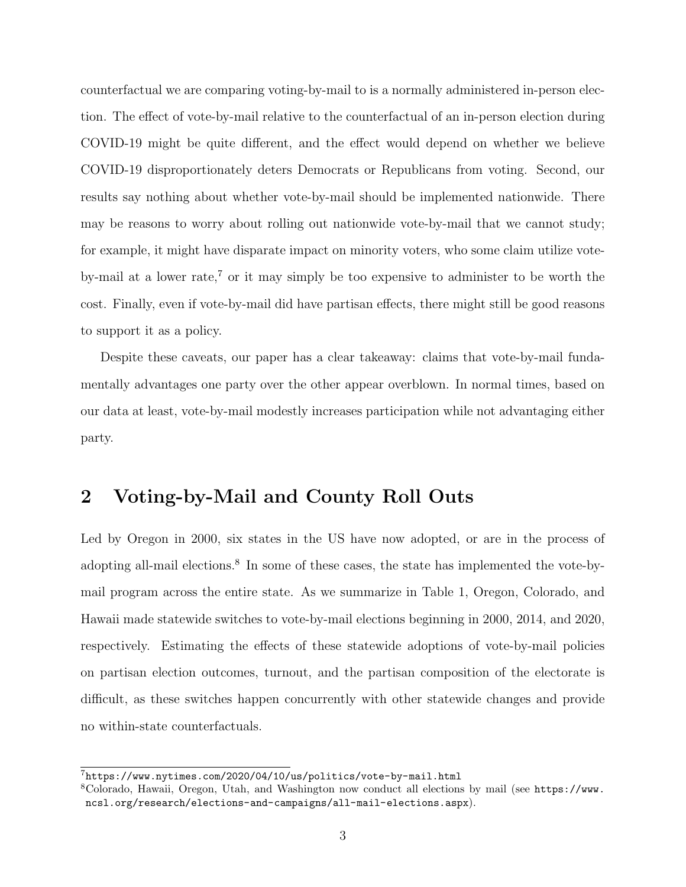counterfactual we are comparing voting-by-mail to is a normally administered in-person election. The effect of vote-by-mail relative to the counterfactual of an in-person election during COVID-19 might be quite different, and the effect would depend on whether we believe COVID-19 disproportionately deters Democrats or Republicans from voting. Second, our results say nothing about whether vote-by-mail should be implemented nationwide. There may be reasons to worry about rolling out nationwide vote-by-mail that we cannot study; for example, it might have disparate impact on minority voters, who some claim utilize vote-by-mail at a lower rate,<sup>[7](#page-3-0)</sup> or it may simply be too expensive to administer to be worth the cost. Finally, even if vote-by-mail did have partisan effects, there might still be good reasons to support it as a policy.

Despite these caveats, our paper has a clear takeaway: claims that vote-by-mail fundamentally advantages one party over the other appear overblown. In normal times, based on our data at least, vote-by-mail modestly increases participation while not advantaging either party.

### <span id="page-3-2"></span>2 Voting-by-Mail and County Roll Outs

Led by Oregon in 2000, six states in the US have now adopted, or are in the process of adopting all-mail elections.<sup>[8](#page-3-1)</sup> In some of these cases, the state has implemented the vote-bymail program across the entire state. As we summarize in Table [1,](#page-4-0) Oregon, Colorado, and Hawaii made statewide switches to vote-by-mail elections beginning in 2000, 2014, and 2020, respectively. Estimating the effects of these statewide adoptions of vote-by-mail policies on partisan election outcomes, turnout, and the partisan composition of the electorate is difficult, as these switches happen concurrently with other statewide changes and provide no within-state counterfactuals.

<span id="page-3-0"></span><sup>7</sup><https://www.nytimes.com/2020/04/10/us/politics/vote-by-mail.html>

<span id="page-3-1"></span><sup>8</sup>Colorado, Hawaii, Oregon, Utah, and Washington now conduct all elections by mail (see [https://www.](https://www.ncsl.org/research/elections-and-campaigns/all-mail-elections.aspx) [ncsl.org/research/elections-and-campaigns/all-mail-elections.aspx](https://www.ncsl.org/research/elections-and-campaigns/all-mail-elections.aspx)).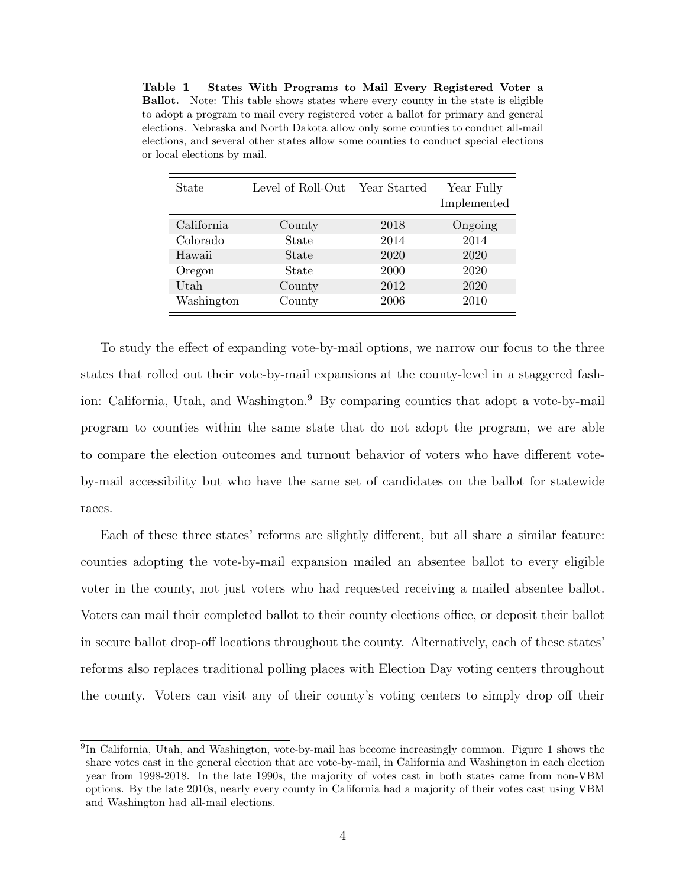<span id="page-4-0"></span>Table 1 – States With Programs to Mail Every Registered Voter a Ballot. Note: This table shows states where every county in the state is eligible to adopt a program to mail every registered voter a ballot for primary and general elections. Nebraska and North Dakota allow only some counties to conduct all-mail elections, and several other states allow some counties to conduct special elections or local elections by mail.

| State      | Level of Roll-Out | Year Started | Year Fully<br>Implemented |
|------------|-------------------|--------------|---------------------------|
| California | County            | 2018         | Ongoing                   |
| Colorado   | State             | 2014         | 2014                      |
| Hawaii     | State             | 2020         | 2020                      |
| Oregon     | State             | 2000         | 2020                      |
| Utah       | County            | 2012         | 2020                      |
| Washington | County            | 2006         | 2010                      |

To study the effect of expanding vote-by-mail options, we narrow our focus to the three states that rolled out their vote-by-mail expansions at the county-level in a staggered fash-ion: California, Utah, and Washington.<sup>[9](#page-4-1)</sup> By comparing counties that adopt a vote-by-mail program to counties within the same state that do not adopt the program, we are able to compare the election outcomes and turnout behavior of voters who have different voteby-mail accessibility but who have the same set of candidates on the ballot for statewide races.

Each of these three states' reforms are slightly different, but all share a similar feature: counties adopting the vote-by-mail expansion mailed an absentee ballot to every eligible voter in the county, not just voters who had requested receiving a mailed absentee ballot. Voters can mail their completed ballot to their county elections office, or deposit their ballot in secure ballot drop-off locations throughout the county. Alternatively, each of these states' reforms also replaces traditional polling places with Election Day voting centers throughout the county. Voters can visit any of their county's voting centers to simply drop off their

<span id="page-4-1"></span><sup>&</sup>lt;sup>9</sup>In California, Utah, and Washington, vote-by-mail has become increasingly common. Figure [1](#page-5-0) shows the share votes cast in the general election that are vote-by-mail, in California and Washington in each election year from 1998-2018. In the late 1990s, the majority of votes cast in both states came from non-VBM options. By the late 2010s, nearly every county in California had a majority of their votes cast using VBM and Washington had all-mail elections.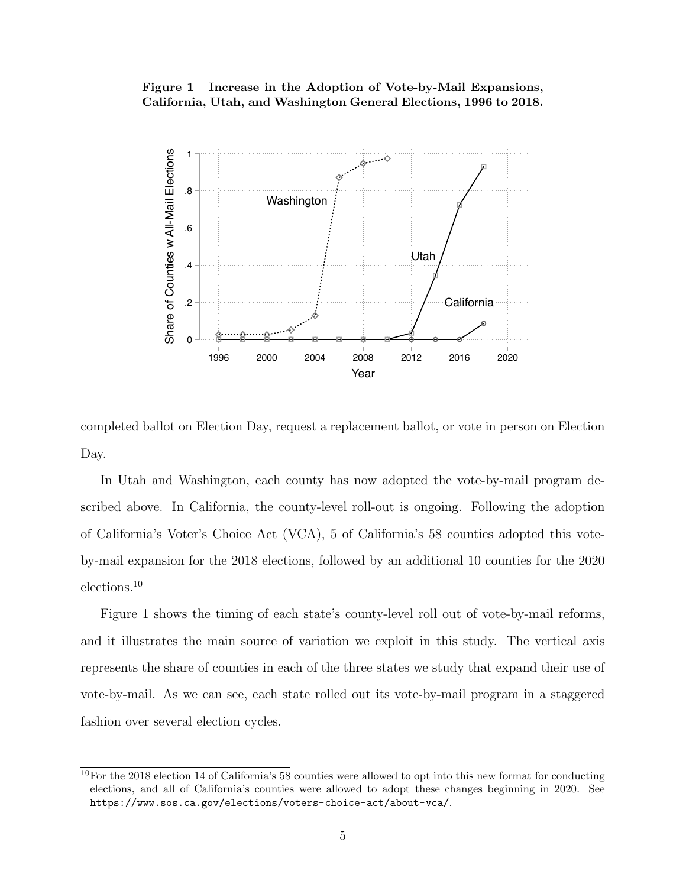#### <span id="page-5-0"></span>Figure 1 – Increase in the Adoption of Vote-by-Mail Expansions, California, Utah, and Washington General Elections, 1996 to 2018.



completed ballot on Election Day, request a replacement ballot, or vote in person on Election Day.

In Utah and Washington, each county has now adopted the vote-by-mail program described above. In California, the county-level roll-out is ongoing. Following the adoption of California's Voter's Choice Act (VCA), 5 of California's 58 counties adopted this voteby-mail expansion for the 2018 elections, followed by an additional 10 counties for the 2020 elections.[10](#page-5-1)

Figure [1](#page-5-0) shows the timing of each state's county-level roll out of vote-by-mail reforms, and it illustrates the main source of variation we exploit in this study. The vertical axis represents the share of counties in each of the three states we study that expand their use of vote-by-mail. As we can see, each state rolled out its vote-by-mail program in a staggered fashion over several election cycles.

<span id="page-5-1"></span><sup>10</sup>For the 2018 election 14 of California's 58 counties were allowed to opt into this new format for conducting elections, and all of California's counties were allowed to adopt these changes beginning in 2020. See <https://www.sos.ca.gov/elections/voters-choice-act/about-vca/>.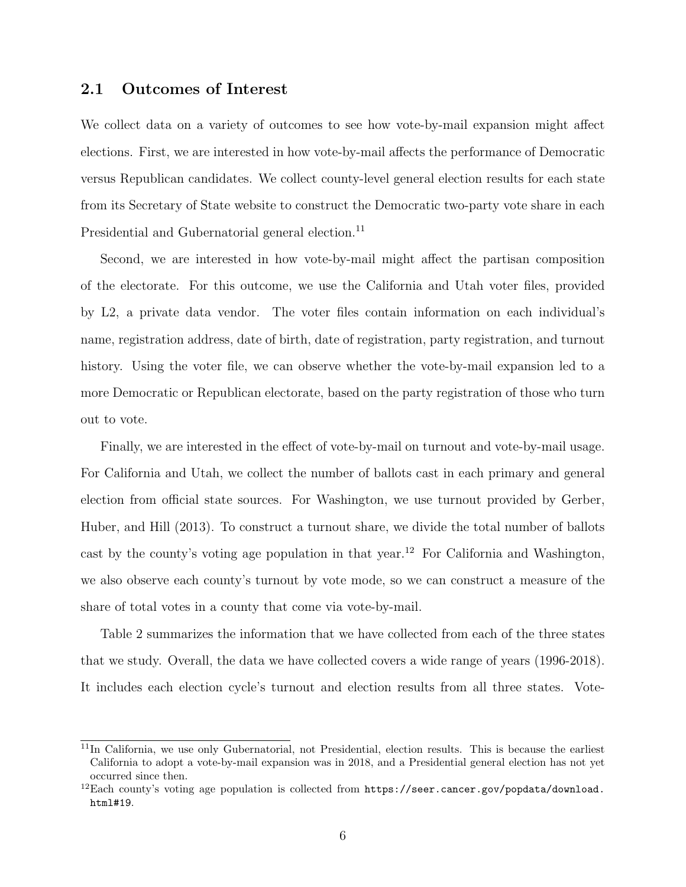#### 2.1 Outcomes of Interest

We collect data on a variety of outcomes to see how vote-by-mail expansion might affect elections. First, we are interested in how vote-by-mail affects the performance of Democratic versus Republican candidates. We collect county-level general election results for each state from its Secretary of State website to construct the Democratic two-party vote share in each Presidential and Gubernatorial general election.<sup>[11](#page-6-0)</sup>

Second, we are interested in how vote-by-mail might affect the partisan composition of the electorate. For this outcome, we use the California and Utah voter files, provided by L2, a private data vendor. The voter files contain information on each individual's name, registration address, date of birth, date of registration, party registration, and turnout history. Using the voter file, we can observe whether the vote-by-mail expansion led to a more Democratic or Republican electorate, based on the party registration of those who turn out to vote.

Finally, we are interested in the effect of vote-by-mail on turnout and vote-by-mail usage. For California and Utah, we collect the number of ballots cast in each primary and general election from official state sources. For Washington, we use turnout provided by [Gerber,](#page-15-0) [Huber, and Hill](#page-15-0) [\(2013\)](#page-15-0). To construct a turnout share, we divide the total number of ballots cast by the county's voting age population in that year.<sup>[12](#page-6-1)</sup> For California and Washington, we also observe each county's turnout by vote mode, so we can construct a measure of the share of total votes in a county that come via vote-by-mail.

Table [2](#page-7-0) summarizes the information that we have collected from each of the three states that we study. Overall, the data we have collected covers a wide range of years (1996-2018). It includes each election cycle's turnout and election results from all three states. Vote-

<span id="page-6-0"></span><sup>&</sup>lt;sup>11</sup>In California, we use only Gubernatorial, not Presidential, election results. This is because the earliest California to adopt a vote-by-mail expansion was in 2018, and a Presidential general election has not yet occurred since then.

<span id="page-6-1"></span> $^{12}$ Each county's voting age population is collected from [https://seer.cancer.gov/popdata/download.](https://seer.cancer.gov/popdata/download.html#19) [html#19](https://seer.cancer.gov/popdata/download.html#19).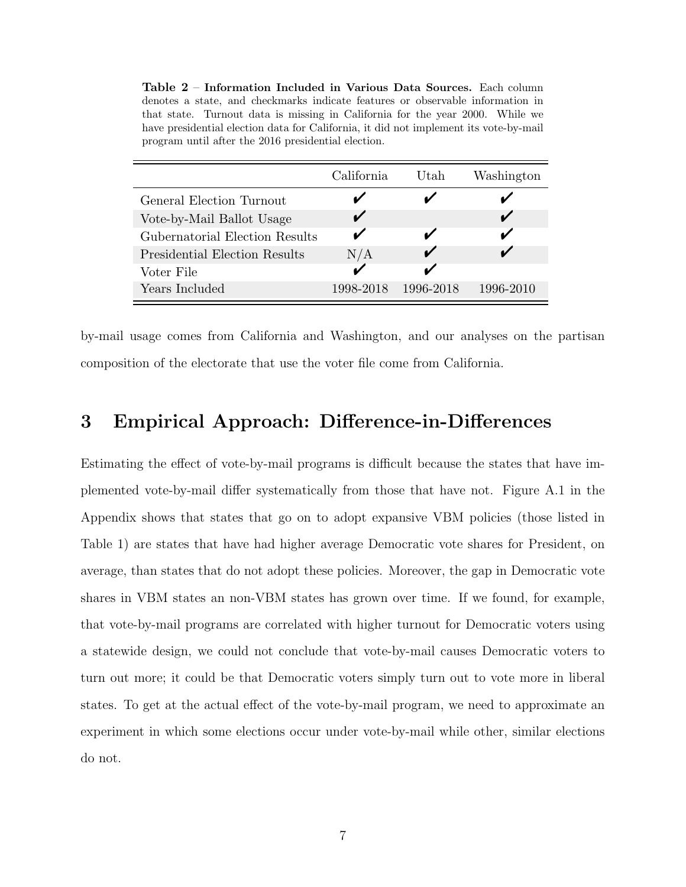<span id="page-7-0"></span>

| Table 2 - Information Included in Various Data Sources. Each column                   |
|---------------------------------------------------------------------------------------|
| denotes a state, and checkmarks indicate features or observable information in        |
| that state. Turnout data is missing in California for the year 2000. While we         |
| have presidential election data for California, it did not implement its vote-by-mail |
| program until after the 2016 presidential election.                                   |

|                                      | California | Utah      | Washington |
|--------------------------------------|------------|-----------|------------|
| General Election Turnout             |            |           |            |
| Vote-by-Mail Ballot Usage            |            |           |            |
| Gubernatorial Election Results       |            |           |            |
| <b>Presidential Election Results</b> | N/A        |           |            |
| Voter File                           |            |           |            |
| Years Included                       | 1998-2018  | 1996-2018 | 1996-2010  |

by-mail usage comes from California and Washington, and our analyses on the partisan composition of the electorate that use the voter file come from California.

### <span id="page-7-1"></span>3 Empirical Approach: Difference-in-Differences

Estimating the effect of vote-by-mail programs is difficult because the states that have implemented vote-by-mail differ systematically from those that have not. Figure [A.1](#page-19-0) in the Appendix shows that states that go on to adopt expansive VBM policies (those listed in Table [1\)](#page-4-0) are states that have had higher average Democratic vote shares for President, on average, than states that do not adopt these policies. Moreover, the gap in Democratic vote shares in VBM states an non-VBM states has grown over time. If we found, for example, that vote-by-mail programs are correlated with higher turnout for Democratic voters using a statewide design, we could not conclude that vote-by-mail causes Democratic voters to turn out more; it could be that Democratic voters simply turn out to vote more in liberal states. To get at the actual effect of the vote-by-mail program, we need to approximate an experiment in which some elections occur under vote-by-mail while other, similar elections do not.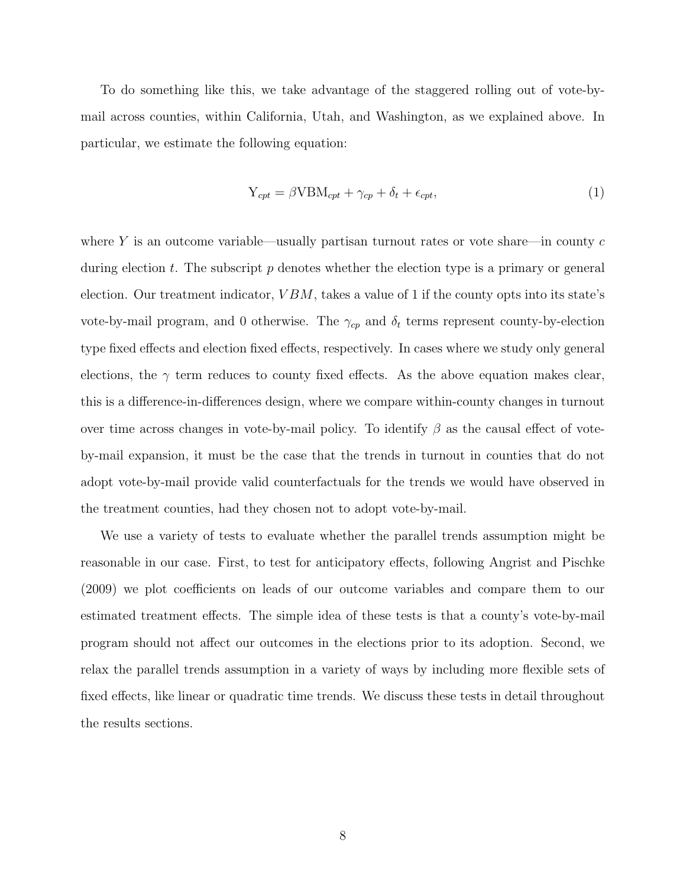To do something like this, we take advantage of the staggered rolling out of vote-bymail across counties, within California, Utah, and Washington, as we explained above. In particular, we estimate the following equation:

$$
Y_{cpt} = \beta VBM_{cpt} + \gamma_{cp} + \delta_t + \epsilon_{cpt},\tag{1}
$$

where Y is an outcome variable—usually partisan turnout rates or vote share—in county  $c$ during election t. The subscript  $p$  denotes whether the election type is a primary or general election. Our treatment indicator,  $VBM$ , takes a value of 1 if the county opts into its state's vote-by-mail program, and 0 otherwise. The  $\gamma_{cp}$  and  $\delta_t$  terms represent county-by-election type fixed effects and election fixed effects, respectively. In cases where we study only general elections, the  $\gamma$  term reduces to county fixed effects. As the above equation makes clear, this is a difference-in-differences design, where we compare within-county changes in turnout over time across changes in vote-by-mail policy. To identify  $\beta$  as the causal effect of voteby-mail expansion, it must be the case that the trends in turnout in counties that do not adopt vote-by-mail provide valid counterfactuals for the trends we would have observed in the treatment counties, had they chosen not to adopt vote-by-mail.

We use a variety of tests to evaluate whether the parallel trends assumption might be reasonable in our case. First, to test for anticipatory effects, following [Angrist and Pischke](#page-15-12) [\(2009\)](#page-15-12) we plot coefficients on leads of our outcome variables and compare them to our estimated treatment effects. The simple idea of these tests is that a county's vote-by-mail program should not affect our outcomes in the elections prior to its adoption. Second, we relax the parallel trends assumption in a variety of ways by including more flexible sets of fixed effects, like linear or quadratic time trends. We discuss these tests in detail throughout the results sections.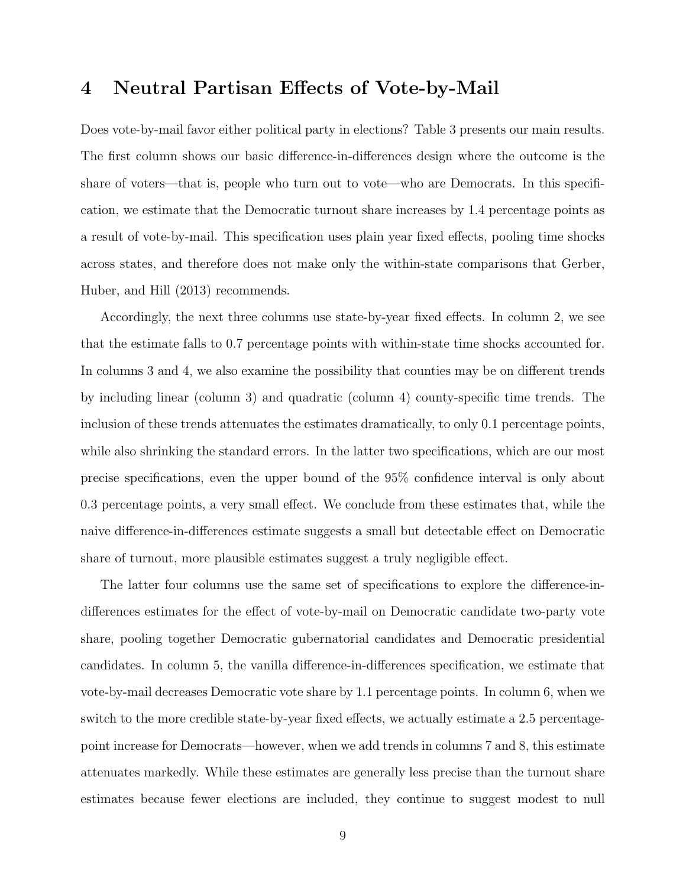#### <span id="page-9-0"></span>4 Neutral Partisan Effects of Vote-by-Mail

Does vote-by-mail favor either political party in elections? Table [3](#page-10-0) presents our main results. The first column shows our basic difference-in-differences design where the outcome is the share of voters—that is, people who turn out to vote—who are Democrats. In this specification, we estimate that the Democratic turnout share increases by 1.4 percentage points as a result of vote-by-mail. This specification uses plain year fixed effects, pooling time shocks across states, and therefore does not make only the within-state comparisons that [Gerber,](#page-15-0) [Huber, and Hill](#page-15-0) [\(2013\)](#page-15-0) recommends.

Accordingly, the next three columns use state-by-year fixed effects. In column 2, we see that the estimate falls to 0.7 percentage points with within-state time shocks accounted for. In columns 3 and 4, we also examine the possibility that counties may be on different trends by including linear (column 3) and quadratic (column 4) county-specific time trends. The inclusion of these trends attenuates the estimates dramatically, to only 0.1 percentage points, while also shrinking the standard errors. In the latter two specifications, which are our most precise specifications, even the upper bound of the 95% confidence interval is only about 0.3 percentage points, a very small effect. We conclude from these estimates that, while the naive difference-in-differences estimate suggests a small but detectable effect on Democratic share of turnout, more plausible estimates suggest a truly negligible effect.

The latter four columns use the same set of specifications to explore the difference-indifferences estimates for the effect of vote-by-mail on Democratic candidate two-party vote share, pooling together Democratic gubernatorial candidates and Democratic presidential candidates. In column 5, the vanilla difference-in-differences specification, we estimate that vote-by-mail decreases Democratic vote share by 1.1 percentage points. In column 6, when we switch to the more credible state-by-year fixed effects, we actually estimate a 2.5 percentagepoint increase for Democrats—however, when we add trends in columns 7 and 8, this estimate attenuates markedly. While these estimates are generally less precise than the turnout share estimates because fewer elections are included, they continue to suggest modest to null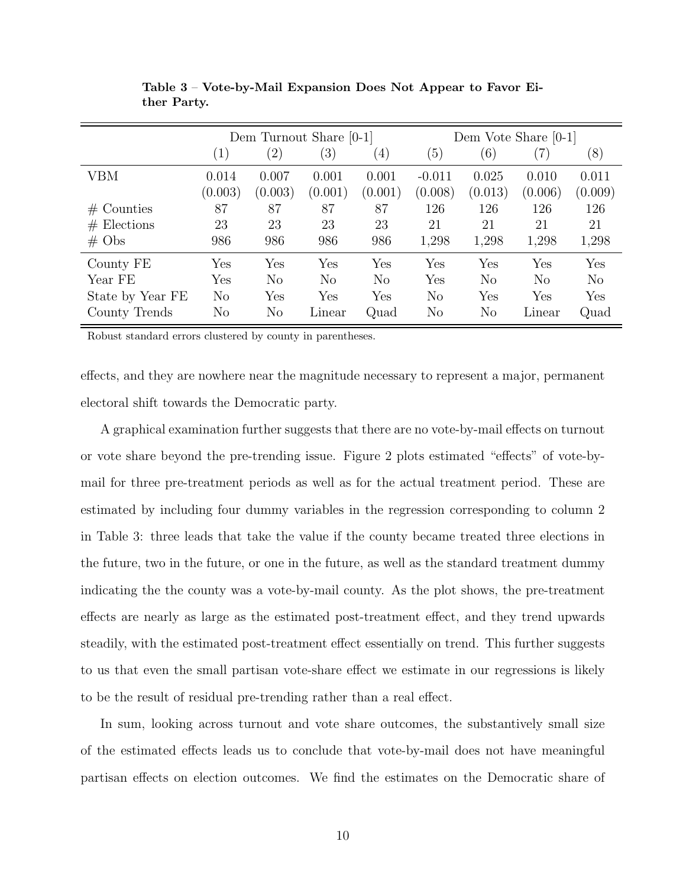<span id="page-10-0"></span>

|                   |                   | Dem Turnout Share [0-1] |                  |                   |          |                | Dem Vote Share $[0-1]$ |                |
|-------------------|-------------------|-------------------------|------------------|-------------------|----------|----------------|------------------------|----------------|
|                   | $\left( 1\right)$ | $\left( 2\right)$       | $\left(3\right)$ | $\left( 4\right)$ | (5)      | (6)            | (7)                    | (8)            |
| VBM               | 0.014             | 0.007                   | 0.001            | 0.001             | $-0.011$ | 0.025          | 0.010                  | 0.011          |
|                   | (0.003)           | (0.003)                 | (0.001)          | (0.001)           | (0.008)  | (0.013)        | (0.006)                | (0.009)        |
| $#$ Counties      | 87                | 87                      | 87               | 87                | 126      | 126            | 126                    | 126            |
| $#$ Elections     | 23                | 23                      | 23               | 23                | 21       | 21             | 21                     | 21             |
| $# \; \text{Obs}$ | 986               | 986                     | 986              | 986               | 1,298    | 1,298          | 1,298                  | 1,298          |
| County FE         | Yes               | Yes                     | Yes              | Yes               | Yes      | Yes            | Yes                    | Yes            |
| Year FE           | Yes               | N <sub>o</sub>          | N <sub>o</sub>   | No                | Yes      | N <sub>o</sub> | $\rm No$               | N <sub>o</sub> |
| State by Year FE  | $\rm No$          | Yes                     | Yes              | Yes               | No       | Yes            | Yes                    | Yes            |
| County Trends     | No                | $\rm No$                | Linear           | Quad              | $\rm No$ | $\rm No$       | Linear                 | Quad           |

Table 3 – Vote-by-Mail Expansion Does Not Appear to Favor Either Party.

Robust standard errors clustered by county in parentheses.

effects, and they are nowhere near the magnitude necessary to represent a major, permanent electoral shift towards the Democratic party.

A graphical examination further suggests that there are no vote-by-mail effects on turnout or vote share beyond the pre-trending issue. Figure [2](#page-11-0) plots estimated "effects" of vote-bymail for three pre-treatment periods as well as for the actual treatment period. These are estimated by including four dummy variables in the regression corresponding to column 2 in Table [3:](#page-10-0) three leads that take the value if the county became treated three elections in the future, two in the future, or one in the future, as well as the standard treatment dummy indicating the the county was a vote-by-mail county. As the plot shows, the pre-treatment effects are nearly as large as the estimated post-treatment effect, and they trend upwards steadily, with the estimated post-treatment effect essentially on trend. This further suggests to us that even the small partisan vote-share effect we estimate in our regressions is likely to be the result of residual pre-trending rather than a real effect.

In sum, looking across turnout and vote share outcomes, the substantively small size of the estimated effects leads us to conclude that vote-by-mail does not have meaningful partisan effects on election outcomes. We find the estimates on the Democratic share of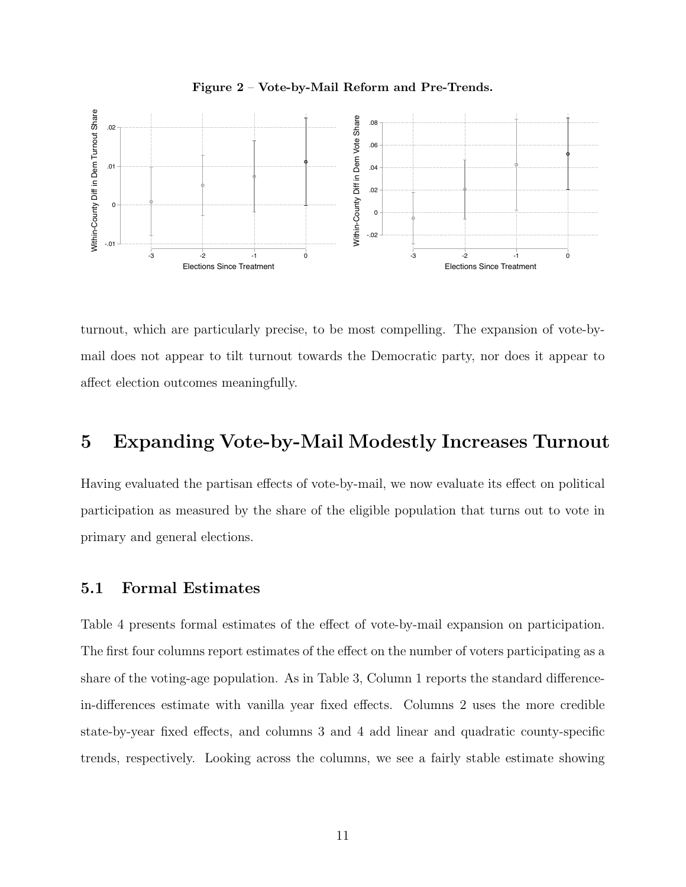<span id="page-11-0"></span>

Figure 2 – Vote-by-Mail Reform and Pre-Trends.

turnout, which are particularly precise, to be most compelling. The expansion of vote-bymail does not appear to tilt turnout towards the Democratic party, nor does it appear to affect election outcomes meaningfully.

## <span id="page-11-1"></span>5 Expanding Vote-by-Mail Modestly Increases Turnout

Having evaluated the partisan effects of vote-by-mail, we now evaluate its effect on political participation as measured by the share of the eligible population that turns out to vote in primary and general elections.

#### 5.1 Formal Estimates

Table [4](#page-12-0) presents formal estimates of the effect of vote-by-mail expansion on participation. The first four columns report estimates of the effect on the number of voters participating as a share of the voting-age population. As in Table [3,](#page-10-0) Column 1 reports the standard differencein-differences estimate with vanilla year fixed effects. Columns 2 uses the more credible state-by-year fixed effects, and columns 3 and 4 add linear and quadratic county-specific trends, respectively. Looking across the columns, we see a fairly stable estimate showing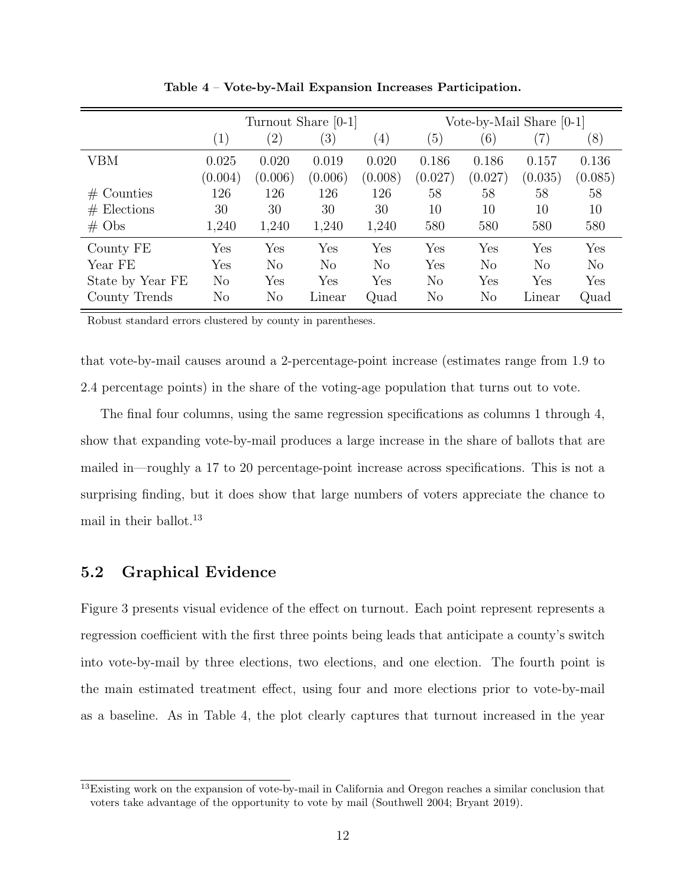<span id="page-12-0"></span>

|                   |                   | Turnout Share [0-1] |                  |                   |                |          | Vote-by-Mail Share $[0-1]$ |         |
|-------------------|-------------------|---------------------|------------------|-------------------|----------------|----------|----------------------------|---------|
|                   | $\left( 1\right)$ | $\left( 2\right)$   | $\left(3\right)$ | $\left( 4\right)$ | (5)            | (6)      | (7)                        | (8)     |
| VBM               | 0.025             | 0.020               | 0.019            | 0.020             | 0.186          | 0.186    | 0.157                      | 0.136   |
|                   | (0.004)           | (0.006)             | (0.006)          | (0.008)           | (0.027)        | (0.027)  | (0.035)                    | (0.085) |
| $#$ Counties      | 126               | 126                 | 126              | 126               | 58             | 58       | 58                         | 58      |
| $#$ Elections     | 30                | 30                  | 30               | 30                | 10             | 10       | 10                         | 10      |
| $# \; \text{Obs}$ | 1,240             | 1,240               | 1,240            | 1,240             | 580            | 580      | 580                        | 580     |
| County FE         | Yes               | Yes                 | Yes              | Yes               | Yes            | Yes      | Yes                        | Yes     |
| Year FE           | Yes               | N <sub>o</sub>      | $\rm No$         | $\rm No$          | Yes            | $\rm No$ | N <sub>o</sub>             | No      |
| State by Year FE  | $\rm No$          | Yes                 | Yes              | Yes               | N <sub>o</sub> | Yes      | Yes                        | Yes     |
| County Trends     | $\rm No$          | $\rm No$            | Linear           | Quad              | $\rm No$       | $\rm No$ | Linear                     | Quad    |

Table 4 – Vote-by-Mail Expansion Increases Participation.

Robust standard errors clustered by county in parentheses.

that vote-by-mail causes around a 2-percentage-point increase (estimates range from 1.9 to 2.4 percentage points) in the share of the voting-age population that turns out to vote.

The final four columns, using the same regression specifications as columns 1 through 4, show that expanding vote-by-mail produces a large increase in the share of ballots that are mailed in—roughly a 17 to 20 percentage-point increase across specifications. This is not a surprising finding, but it does show that large numbers of voters appreciate the chance to mail in their ballot.<sup>[13](#page-12-1)</sup>

#### 5.2 Graphical Evidence

Figure [3](#page-13-0) presents visual evidence of the effect on turnout. Each point represent represents a regression coefficient with the first three points being leads that anticipate a county's switch into vote-by-mail by three elections, two elections, and one election. The fourth point is the main estimated treatment effect, using four and more elections prior to vote-by-mail as a baseline. As in Table [4,](#page-12-0) the plot clearly captures that turnout increased in the year

<span id="page-12-1"></span><sup>&</sup>lt;sup>13</sup>Existing work on the expansion of vote-by-mail in California and Oregon reaches a similar conclusion that voters take advantage of the opportunity to vote by mail [\(Southwell](#page-16-8) [2004;](#page-16-8) [Bryant](#page-15-13) [2019\)](#page-15-13).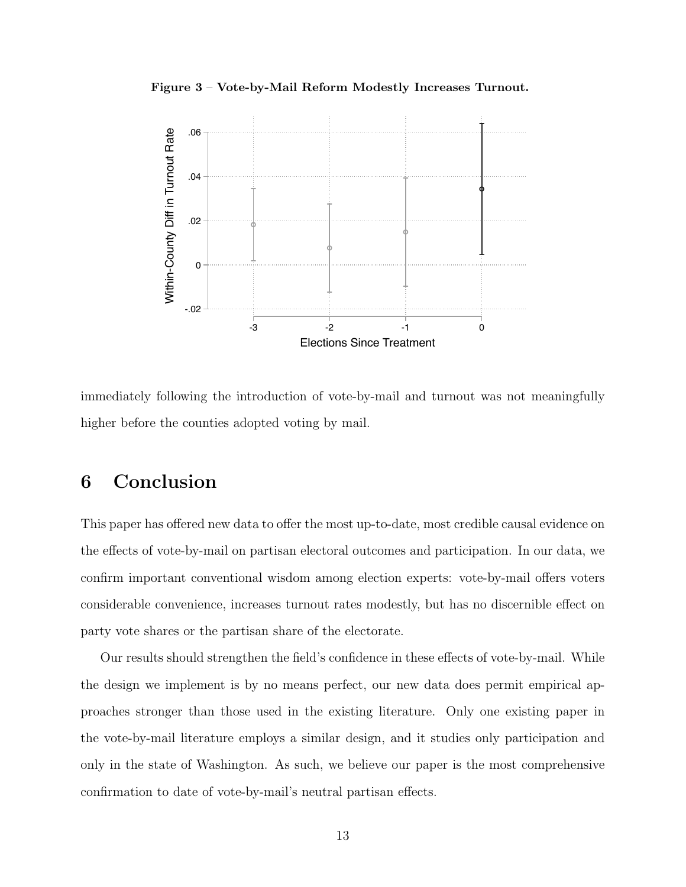Figure 3 – Vote-by-Mail Reform Modestly Increases Turnout.

<span id="page-13-0"></span>

immediately following the introduction of vote-by-mail and turnout was not meaningfully higher before the counties adopted voting by mail.

### <span id="page-13-1"></span>6 Conclusion

This paper has offered new data to offer the most up-to-date, most credible causal evidence on the effects of vote-by-mail on partisan electoral outcomes and participation. In our data, we confirm important conventional wisdom among election experts: vote-by-mail offers voters considerable convenience, increases turnout rates modestly, but has no discernible effect on party vote shares or the partisan share of the electorate.

Our results should strengthen the field's confidence in these effects of vote-by-mail. While the design we implement is by no means perfect, our new data does permit empirical approaches stronger than those used in the existing literature. Only one existing paper in the vote-by-mail literature employs a similar design, and it studies only participation and only in the state of Washington. As such, we believe our paper is the most comprehensive confirmation to date of vote-by-mail's neutral partisan effects.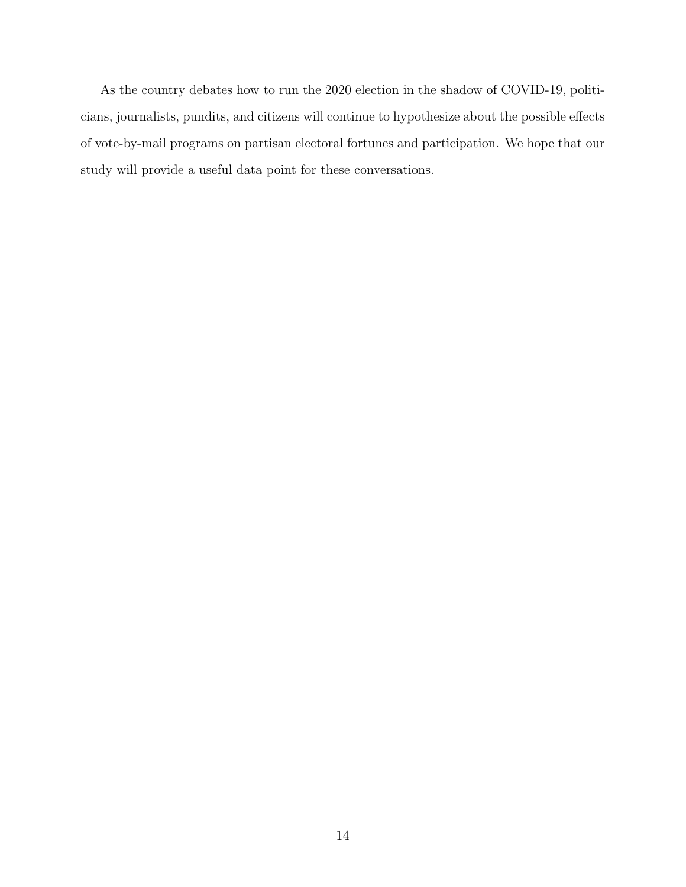As the country debates how to run the 2020 election in the shadow of COVID-19, politicians, journalists, pundits, and citizens will continue to hypothesize about the possible effects of vote-by-mail programs on partisan electoral fortunes and participation. We hope that our study will provide a useful data point for these conversations.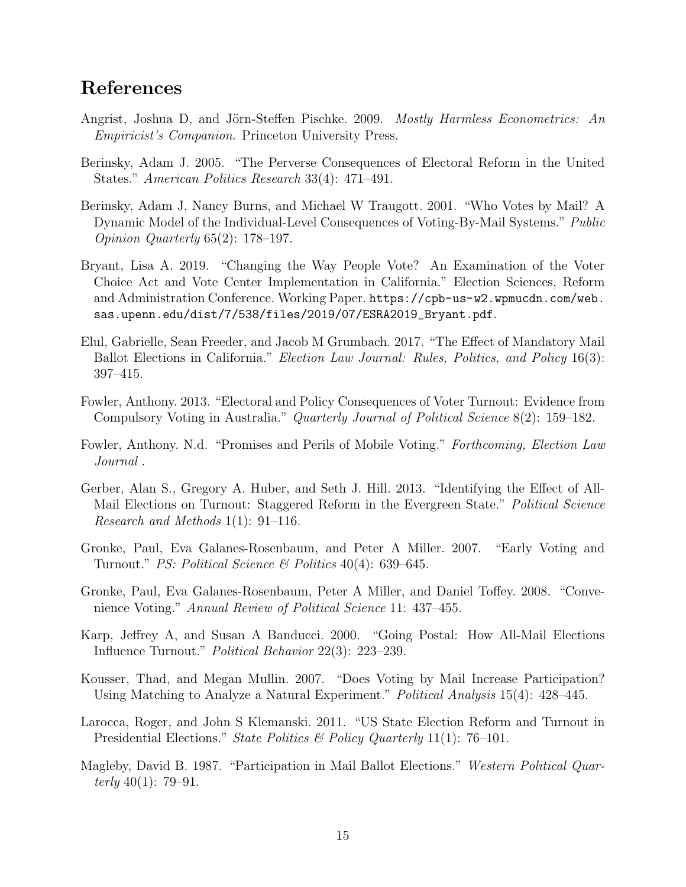### References

- <span id="page-15-12"></span>Angrist, Joshua D, and Jörn-Steffen Pischke. 2009. Mostly Harmless Econometrics: An Empiricist's Companion. Princeton University Press.
- <span id="page-15-3"></span>Berinsky, Adam J. 2005. "The Perverse Consequences of Electoral Reform in the United States." American Politics Research 33(4): 471–491.
- <span id="page-15-2"></span>Berinsky, Adam J, Nancy Burns, and Michael W Traugott. 2001. "Who Votes by Mail? A Dynamic Model of the Individual-Level Consequences of Voting-By-Mail Systems." Public Opinion Quarterly 65(2): 178–197.
- <span id="page-15-13"></span>Bryant, Lisa A. 2019. "Changing the Way People Vote? An Examination of the Voter Choice Act and Vote Center Implementation in California." Election Sciences, Reform and Administration Conference. Working Paper. [https://cpb-us-w2.wpmucdn.com/web.](https://cpb-us-w2.wpmucdn.com/web.sas.upenn.edu/dist/7/538/files/2019/07/ESRA2019_Bryant.pdf) [sas.upenn.edu/dist/7/538/files/2019/07/ESRA2019\\_Bryant.pdf](https://cpb-us-w2.wpmucdn.com/web.sas.upenn.edu/dist/7/538/files/2019/07/ESRA2019_Bryant.pdf).
- <span id="page-15-5"></span>Elul, Gabrielle, Sean Freeder, and Jacob M Grumbach. 2017. "The Effect of Mandatory Mail Ballot Elections in California." *Election Law Journal: Rules, Politics, and Policy* 16(3): 397–415.
- <span id="page-15-7"></span>Fowler, Anthony. 2013. "Electoral and Policy Consequences of Voter Turnout: Evidence from Compulsory Voting in Australia." Quarterly Journal of Political Science 8(2): 159–182.
- <span id="page-15-6"></span>Fowler, Anthony. N.d. "Promises and Perils of Mobile Voting." Forthcoming, Election Law Journal .
- <span id="page-15-0"></span>Gerber, Alan S., Gregory A. Huber, and Seth J. Hill. 2013. "Identifying the Effect of All-Mail Elections on Turnout: Staggered Reform in the Evergreen State." Political Science Research and Methods 1(1): 91–116.
- <span id="page-15-10"></span>Gronke, Paul, Eva Galanes-Rosenbaum, and Peter A Miller. 2007. "Early Voting and Turnout." *PS: Political Science*  $\mathcal{B}$  *Politics* 40(4): 639–645.
- <span id="page-15-4"></span>Gronke, Paul, Eva Galanes-Rosenbaum, Peter A Miller, and Daniel Toffey. 2008. "Convenience Voting." Annual Review of Political Science 11: 437–455.
- <span id="page-15-1"></span>Karp, Jeffrey A, and Susan A Banducci. 2000. "Going Postal: How All-Mail Elections Influence Turnout." Political Behavior 22(3): 223–239.
- <span id="page-15-11"></span>Kousser, Thad, and Megan Mullin. 2007. "Does Voting by Mail Increase Participation? Using Matching to Analyze a Natural Experiment." Political Analysis 15(4): 428–445.
- <span id="page-15-9"></span>Larocca, Roger, and John S Klemanski. 2011. "US State Election Reform and Turnout in Presidential Elections." State Politics & Policy Quarterly 11(1): 76-101.
- <span id="page-15-8"></span>Magleby, David B. 1987. "Participation in Mail Ballot Elections." Western Political Quarterly  $40(1)$ : 79–91.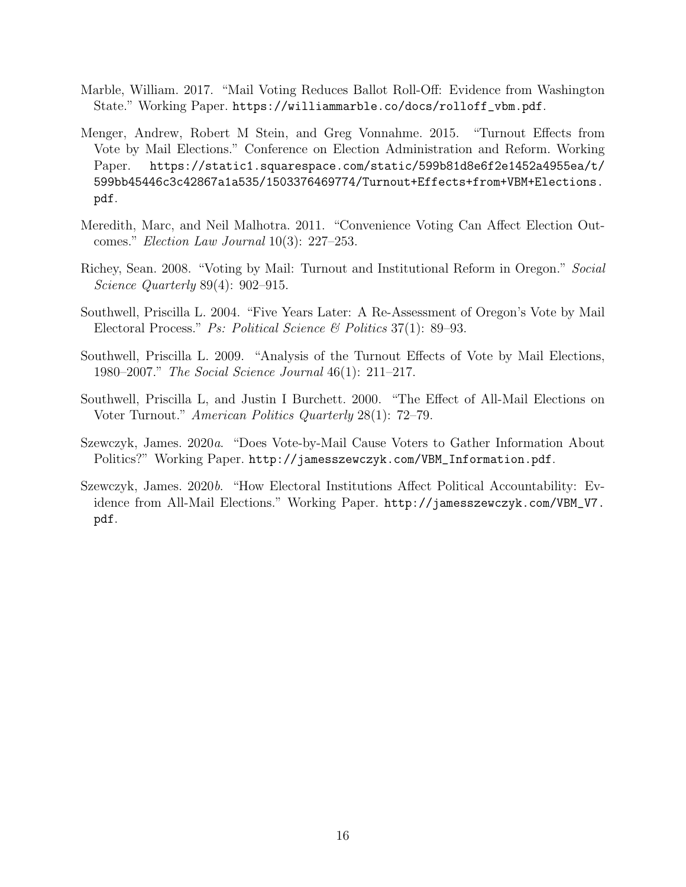- <span id="page-16-0"></span>Marble, William. 2017. "Mail Voting Reduces Ballot Roll-Off: Evidence from Washington State." Working Paper. [https://williammarble.co/docs/rolloff\\_vbm.pdf](https://williammarble.co/docs/rolloff_vbm.pdf).
- <span id="page-16-6"></span>Menger, Andrew, Robert M Stein, and Greg Vonnahme. 2015. "Turnout Effects from Vote by Mail Elections." Conference on Election Administration and Reform. Working Paper. [https://static1.squarespace.com/static/599b81d8e6f2e1452a4955ea/t/](https://static1.squarespace.com/static/599b81d8e6f2e1452a4955ea/t/599bb45446c3c42867a1a535/1503376469774/Turnout+Effects+from+VBM+Elections.pdf) [599bb45446c3c42867a1a535/1503376469774/Turnout+Effects+from+VBM+Elections.](https://static1.squarespace.com/static/599b81d8e6f2e1452a4955ea/t/599bb45446c3c42867a1a535/1503376469774/Turnout+Effects+from+VBM+Elections.pdf) [pdf](https://static1.squarespace.com/static/599b81d8e6f2e1452a4955ea/t/599bb45446c3c42867a1a535/1503376469774/Turnout+Effects+from+VBM+Elections.pdf).
- <span id="page-16-7"></span>Meredith, Marc, and Neil Malhotra. 2011. "Convenience Voting Can Affect Election Outcomes." Election Law Journal 10(3): 227–253.
- <span id="page-16-4"></span>Richey, Sean. 2008. "Voting by Mail: Turnout and Institutional Reform in Oregon." Social Science Quarterly 89(4): 902–915.
- <span id="page-16-8"></span>Southwell, Priscilla L. 2004. "Five Years Later: A Re-Assessment of Oregon's Vote by Mail Electoral Process." *Ps: Political Science & Politics* 37(1): 89–93.
- <span id="page-16-5"></span>Southwell, Priscilla L. 2009. "Analysis of the Turnout Effects of Vote by Mail Elections, 1980–2007." The Social Science Journal 46(1): 211–217.
- <span id="page-16-3"></span>Southwell, Priscilla L, and Justin I Burchett. 2000. "The Effect of All-Mail Elections on Voter Turnout." American Politics Quarterly 28(1): 72–79.
- <span id="page-16-1"></span>Szewczyk, James. 2020a. "Does Vote-by-Mail Cause Voters to Gather Information About Politics?" Working Paper. [http://jamesszewczyk.com/VBM\\_Information.pdf](http://jamesszewczyk.com/VBM_Information.pdf).
- <span id="page-16-2"></span>Szewczyk, James. 2020b. "How Electoral Institutions Affect Political Accountability: Evidence from All-Mail Elections." Working Paper. [http://jamesszewczyk.com/VBM\\_V7.](http://jamesszewczyk.com/VBM_V7.pdf) [pdf](http://jamesszewczyk.com/VBM_V7.pdf).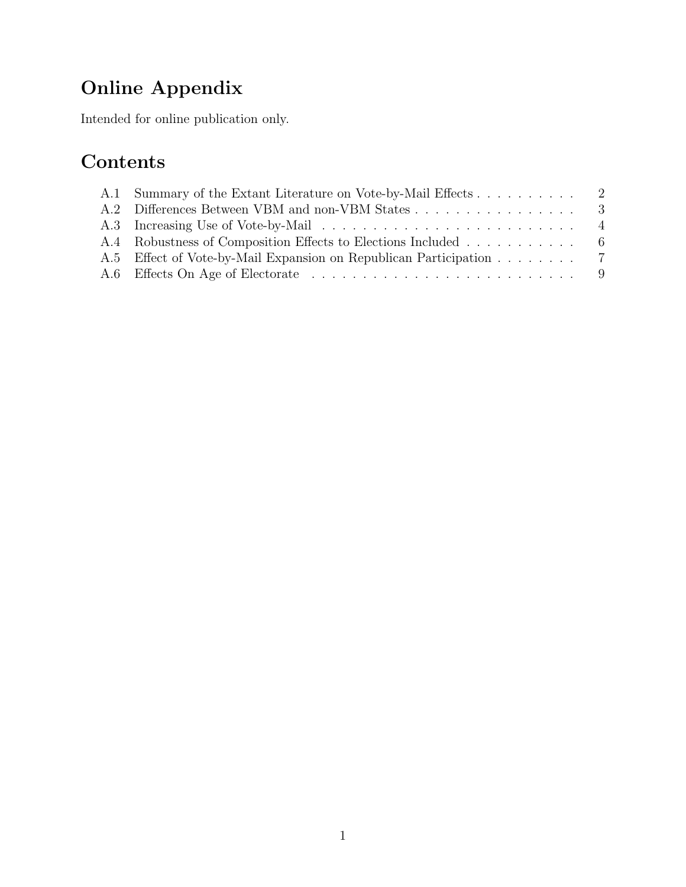# Online Appendix

Intended for online publication only.

# Contents

| A.1 Summary of the Extant Literature on Vote-by-Mail Effects 2     |  |
|--------------------------------------------------------------------|--|
| A.2 Differences Between VBM and non-VBM States 3                   |  |
|                                                                    |  |
| A.4 Robustness of Composition Effects to Elections Included 6      |  |
| A.5 Effect of Vote-by-Mail Expansion on Republican Participation 7 |  |
|                                                                    |  |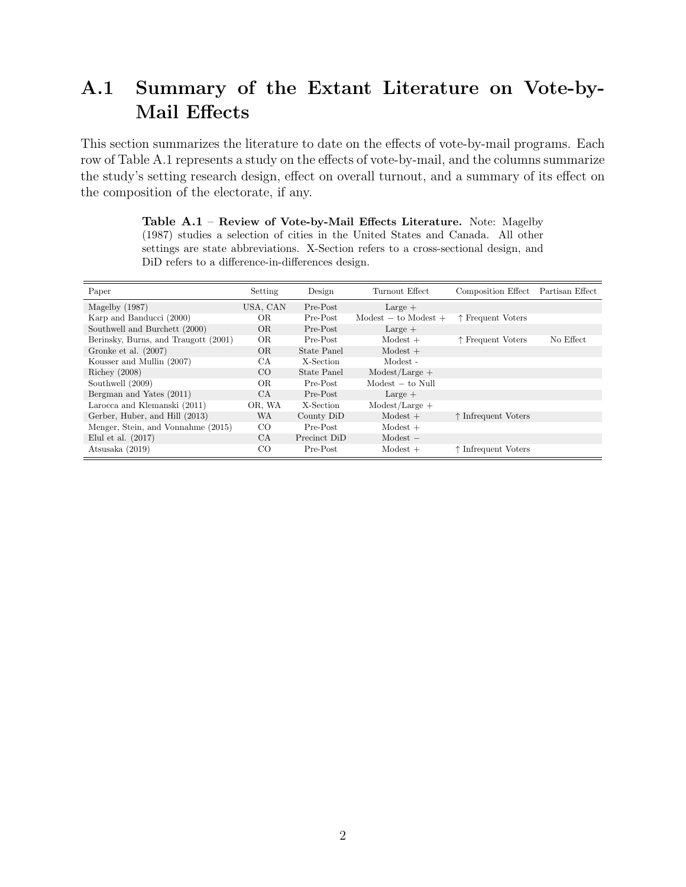# A.1 Summary of the Extant Literature on Vote-by-Mail Effects

This section summarizes the literature to date on the effects of vote-by-mail programs. Each row of Table [A.1](#page-18-0) represents a study on the effects of vote-by-mail, and the columns summarize the study's setting research design, effect on overall turnout, and a summary of its effect on the composition of the electorate, if any.

| Paper                                | Setting         | Design       | Turnout Effect                       | Composition Effect Partisan Effect |           |
|--------------------------------------|-----------------|--------------|--------------------------------------|------------------------------------|-----------|
| Magelby $(1987)$                     | USA, CAN        | Pre-Post     | $Large +$                            |                                    |           |
| Karp and Banducci (2000)             | OR.             | Pre-Post     | $\text{Models} - \text{to Models} +$ | ↑ Frequent Voters                  |           |
| Southwell and Burchett (2000)        | OR.             | Pre-Post     | $Large +$                            |                                    |           |
| Berinsky, Burns, and Traugott (2001) | OR.             | Pre-Post     | $Modest +$                           | ↑ Frequent Voters                  | No Effect |
| Gronke et al. $(2007)$               | OR.             | State Panel  | $Modest +$                           |                                    |           |
| Kousser and Mullin (2007)            | CA              | X-Section    | Modest -                             |                                    |           |
| Richey $(2008)$                      | CO              | State Panel  | $\text{Models/Large} +$              |                                    |           |
| Southwell (2009)                     | OR.             | Pre-Post     | $Model - to Null$                    |                                    |           |
| Bergman and Yates (2011)             | СA              | Pre-Post     | $Large +$                            |                                    |           |
| Larocca and Klemanski (2011)         | OR. WA          | X-Section    | $Modest/Large +$                     |                                    |           |
| Gerber, Huber, and Hill (2013)       | WA              | County DiD   | $Modest +$                           | ↑ Infrequent Voters                |           |
| Menger, Stein, and Vonnahme (2015)   | $_{\rm CO}$     | Pre-Post     | $Modest +$                           |                                    |           |
| Elul et al. $(2017)$                 | CA.             | Precinct DiD | $Modest -$                           |                                    |           |
| Atsusaka (2019)                      | CO <sub>.</sub> | Pre-Post     | $Modest +$                           | ↑ Infrequent Voters                |           |

<span id="page-18-0"></span>Table A.1 – Review of Vote-by-Mail Effects Literature. Note: Magelby (1987) studies a selection of cities in the United States and Canada. All other settings are state abbreviations. X-Section refers to a cross-sectional design, and DiD refers to a difference-in-differences design.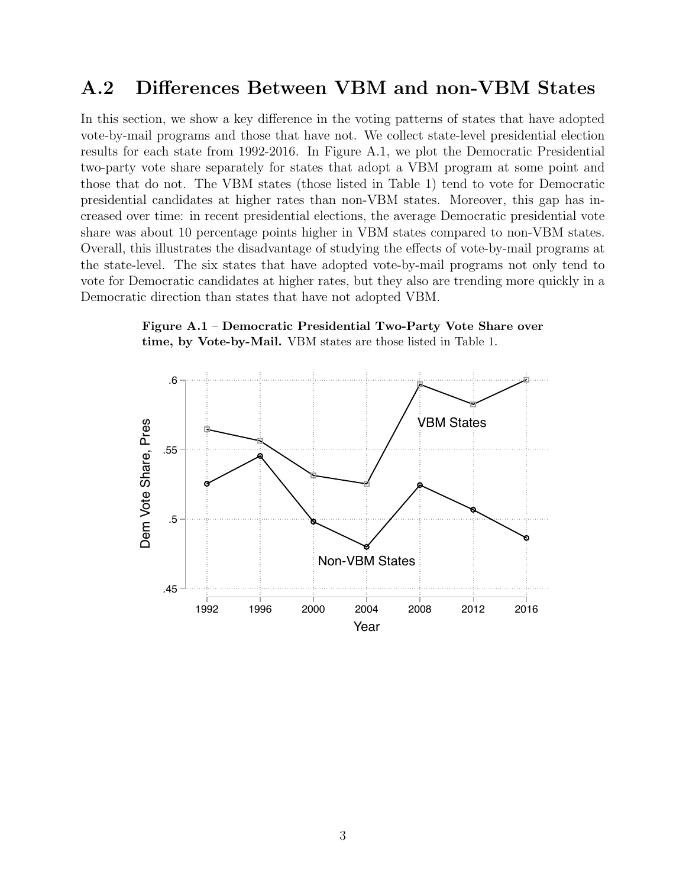#### A.2 Differences Between VBM and non-VBM States

In this section, we show a key difference in the voting patterns of states that have adopted vote-by-mail programs and those that have not. We collect state-level presidential election results for each state from 1992-2016. In Figure [A.1,](#page-19-0) we plot the Democratic Presidential two-party vote share separately for states that adopt a VBM program at some point and those that do not. The VBM states (those listed in Table [1\)](#page-4-0) tend to vote for Democratic presidential candidates at higher rates than non-VBM states. Moreover, this gap has increased over time: in recent presidential elections, the average Democratic presidential vote share was about 10 percentage points higher in VBM states compared to non-VBM states. Overall, this illustrates the disadvantage of studying the effects of vote-by-mail programs at the state-level. The six states that have adopted vote-by-mail programs not only tend to vote for Democratic candidates at higher rates, but they also are trending more quickly in a Democratic direction than states that have not adopted VBM.

<span id="page-19-0"></span>

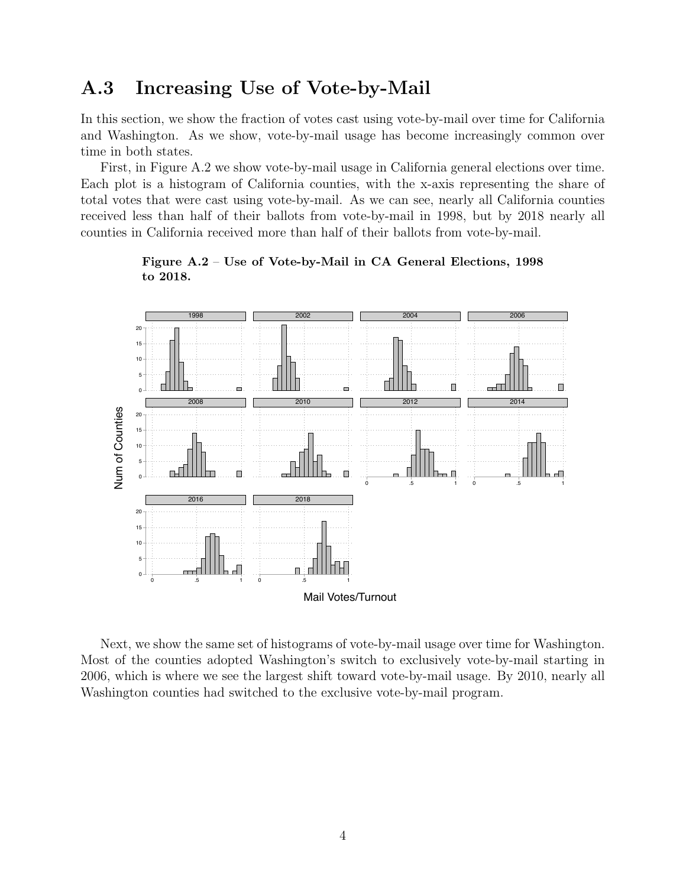### A.3 Increasing Use of Vote-by-Mail

In this section, we show the fraction of votes cast using vote-by-mail over time for California and Washington. As we show, vote-by-mail usage has become increasingly common over time in both states.

First, in Figure [A.2](#page-20-0) we show vote-by-mail usage in California general elections over time. Each plot is a histogram of California counties, with the x-axis representing the share of total votes that were cast using vote-by-mail. As we can see, nearly all California counties received less than half of their ballots from vote-by-mail in 1998, but by 2018 nearly all counties in California received more than half of their ballots from vote-by-mail.

<span id="page-20-0"></span>

Figure A.2 – Use of Vote-by-Mail in CA General Elections, 1998 to 2018.

Next, we show the same set of histograms of vote-by-mail usage over time for Washington. Most of the counties adopted Washington's switch to exclusively vote-by-mail starting in 2006, which is where we see the largest shift toward vote-by-mail usage. By 2010, nearly all Washington counties had switched to the exclusive vote-by-mail program.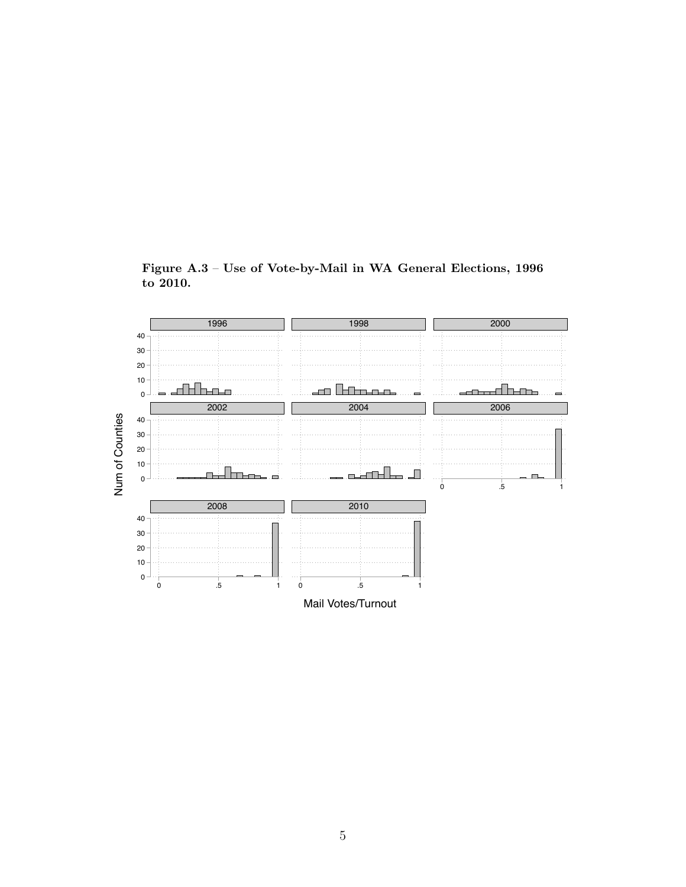

Figure A.3 – Use of Vote-by-Mail in WA General Elections, 1996 to 2010.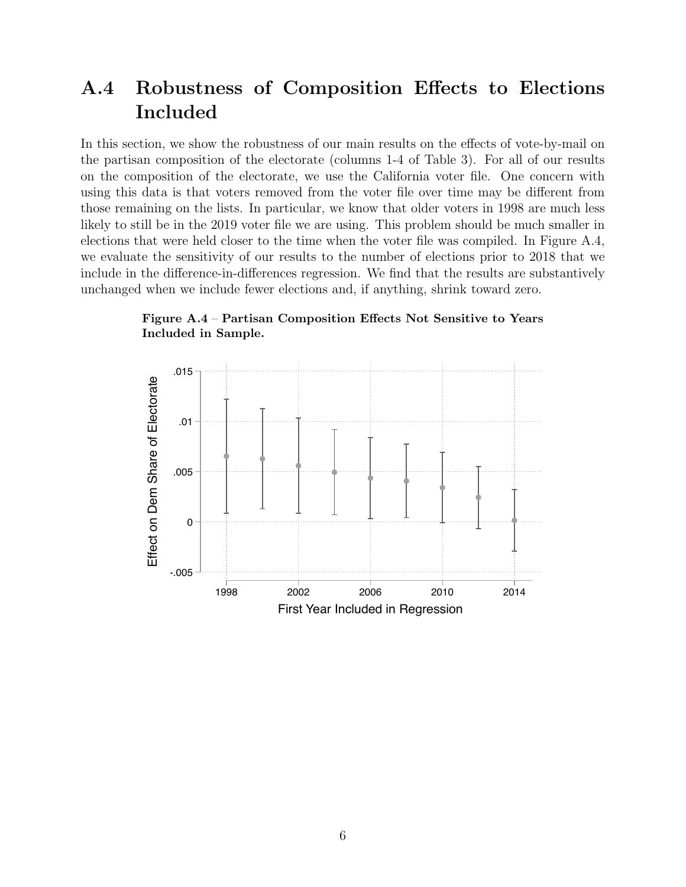# A.4 Robustness of Composition Effects to Elections Included

In this section, we show the robustness of our main results on the effects of vote-by-mail on the partisan composition of the electorate (columns 1-4 of Table [3\)](#page-10-0). For all of our results on the composition of the electorate, we use the California voter file. One concern with using this data is that voters removed from the voter file over time may be different from those remaining on the lists. In particular, we know that older voters in 1998 are much less likely to still be in the 2019 voter file we are using. This problem should be much smaller in elections that were held closer to the time when the voter file was compiled. In Figure [A.4,](#page-22-0) we evaluate the sensitivity of our results to the number of elections prior to 2018 that we include in the difference-in-differences regression. We find that the results are substantively unchanged when we include fewer elections and, if anything, shrink toward zero.

<span id="page-22-0"></span>Figure A.4 – Partisan Composition Effects Not Sensitive to Years Included in Sample.

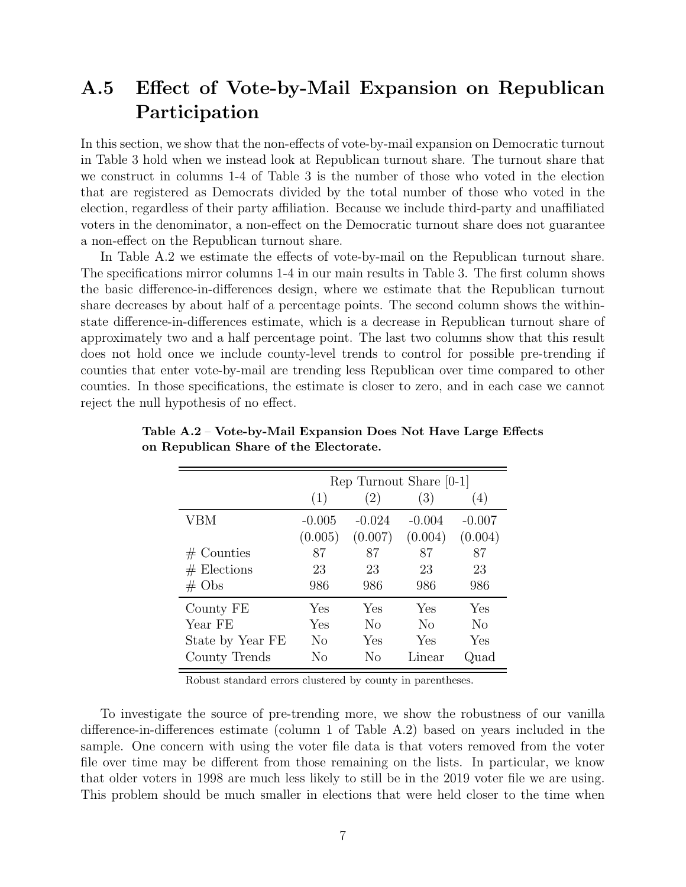## A.5 Effect of Vote-by-Mail Expansion on Republican Participation

In this section, we show that the non-effects of vote-by-mail expansion on Democratic turnout in Table [3](#page-10-0) hold when we instead look at Republican turnout share. The turnout share that we construct in columns 1-4 of Table [3](#page-10-0) is the number of those who voted in the election that are registered as Democrats divided by the total number of those who voted in the election, regardless of their party affiliation. Because we include third-party and unaffiliated voters in the denominator, a non-effect on the Democratic turnout share does not guarantee a non-effect on the Republican turnout share.

In Table [A.2](#page-23-0) we estimate the effects of vote-by-mail on the Republican turnout share. The specifications mirror columns 1-4 in our main results in Table [3.](#page-10-0) The first column shows the basic difference-in-differences design, where we estimate that the Republican turnout share decreases by about half of a percentage points. The second column shows the withinstate difference-in-differences estimate, which is a decrease in Republican turnout share of approximately two and a half percentage point. The last two columns show that this result does not hold once we include county-level trends to control for possible pre-trending if counties that enter vote-by-mail are trending less Republican over time compared to other counties. In those specifications, the estimate is closer to zero, and in each case we cannot reject the null hypothesis of no effect.

|                   |          |          | Rep Turnout Share [0-1] |          |
|-------------------|----------|----------|-------------------------|----------|
|                   | (1)      | (2)      | (3)                     | (4)      |
| VBM               | $-0.005$ | $-0.024$ | $-0.004$                | $-0.007$ |
|                   | (0.005)  | (0.007)  | (0.004)                 | (0.004)  |
| $#$ Counties      | 87       | 87       | 87                      | 87       |
| $#$ Elections     | 23       | 23       | 23                      | 23       |
| $# \; \text{Obs}$ | 986      | 986      | 986                     | 986      |
| County FE         | Yes      | Yes      | Yes                     | Yes      |
| Year FE           | Yes      | No       | N <sub>0</sub>          | $\rm No$ |
| State by Year FE  | No       | Yes      | Yes                     | Yes      |
| County Trends     | Nο       | Nο       | Linear                  | Quad     |

<span id="page-23-0"></span>Table A.2 – Vote-by-Mail Expansion Does Not Have Large Effects on Republican Share of the Electorate.

Robust standard errors clustered by county in parentheses.

To investigate the source of pre-trending more, we show the robustness of our vanilla difference-in-differences estimate (column 1 of Table [A.2\)](#page-23-0) based on years included in the sample. One concern with using the voter file data is that voters removed from the voter file over time may be different from those remaining on the lists. In particular, we know that older voters in 1998 are much less likely to still be in the 2019 voter file we are using. This problem should be much smaller in elections that were held closer to the time when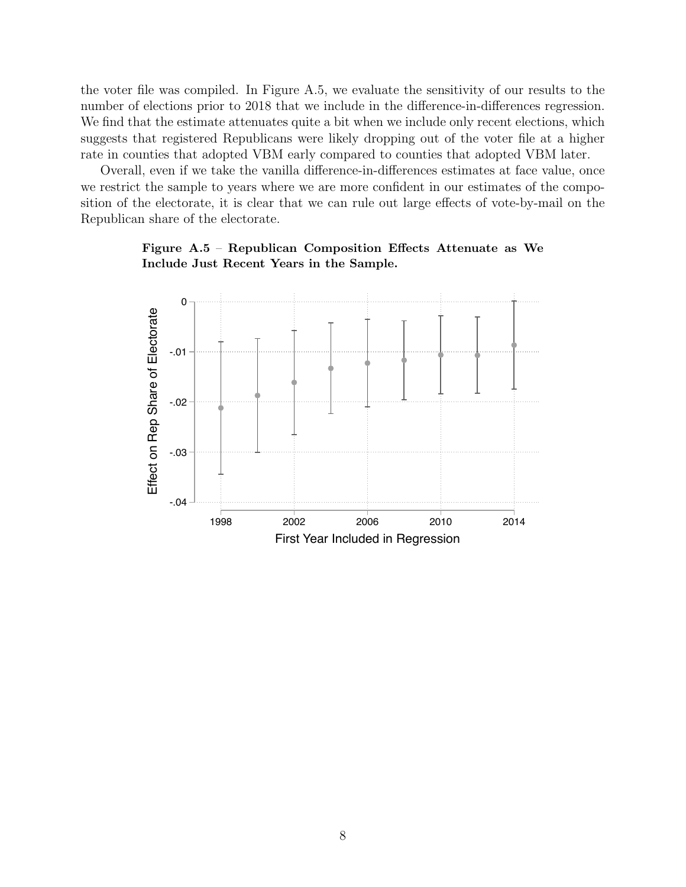the voter file was compiled. In Figure [A.5,](#page-24-0) we evaluate the sensitivity of our results to the number of elections prior to 2018 that we include in the difference-in-differences regression. We find that the estimate attenuates quite a bit when we include only recent elections, which suggests that registered Republicans were likely dropping out of the voter file at a higher rate in counties that adopted VBM early compared to counties that adopted VBM later.

Overall, even if we take the vanilla difference-in-differences estimates at face value, once we restrict the sample to years where we are more confident in our estimates of the composition of the electorate, it is clear that we can rule out large effects of vote-by-mail on the Republican share of the electorate.



1998 2002 2006 2010 2014 First Year Included in Regression

-.04

-.03

<span id="page-24-0"></span>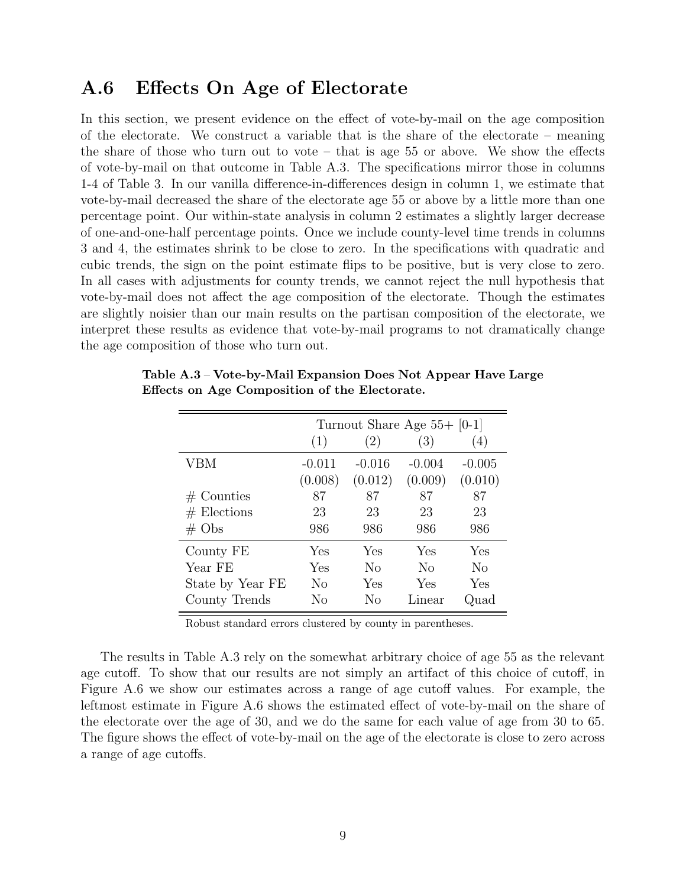#### A.6 Effects On Age of Electorate

In this section, we present evidence on the effect of vote-by-mail on the age composition of the electorate. We construct a variable that is the share of the electorate – meaning the share of those who turn out to vote  $-$  that is age 55 or above. We show the effects of vote-by-mail on that outcome in Table [A.3.](#page-25-0) The specifications mirror those in columns 1-4 of Table [3.](#page-10-0) In our vanilla difference-in-differences design in column 1, we estimate that vote-by-mail decreased the share of the electorate age 55 or above by a little more than one percentage point. Our within-state analysis in column 2 estimates a slightly larger decrease of one-and-one-half percentage points. Once we include county-level time trends in columns 3 and 4, the estimates shrink to be close to zero. In the specifications with quadratic and cubic trends, the sign on the point estimate flips to be positive, but is very close to zero. In all cases with adjustments for county trends, we cannot reject the null hypothesis that vote-by-mail does not affect the age composition of the electorate. Though the estimates are slightly noisier than our main results on the partisan composition of the electorate, we interpret these results as evidence that vote-by-mail programs to not dramatically change the age composition of those who turn out.

|                   | (1)      | (2)            | Turnout Share Age $55+$ [0-1]<br>(3) | (4)            |
|-------------------|----------|----------------|--------------------------------------|----------------|
| VBM               | $-0.011$ | $-0.016$       | $-0.004$                             | $-0.005$       |
|                   | (0.008)  | (0.012)        | (0.009)                              | (0.010)        |
| $#$ Counties      | 87       | 87             | 87                                   | 87             |
| $#$ Elections     | 23       | 23             | 23                                   | 23             |
| $# \; \text{Obs}$ | 986      | 986            | 986                                  | 986            |
| County FE         | Yes      | Yes            | Yes                                  | Yes            |
| Year FE           | Yes      | N <sub>0</sub> | N <sub>0</sub>                       | N <sub>0</sub> |
| State by Year FE  | No       | Yes            | Yes                                  | Yes            |
| County Trends     | Nο       | Nο             | Linear                               | Quad           |

<span id="page-25-0"></span>Table A.3 – Vote-by-Mail Expansion Does Not Appear Have Large Effects on Age Composition of the Electorate.

Robust standard errors clustered by county in parentheses.

The results in Table [A.3](#page-25-0) rely on the somewhat arbitrary choice of age 55 as the relevant age cutoff. To show that our results are not simply an artifact of this choice of cutoff, in Figure [A.6](#page-26-0) we show our estimates across a range of age cutoff values. For example, the leftmost estimate in Figure [A.6](#page-26-0) shows the estimated effect of vote-by-mail on the share of the electorate over the age of 30, and we do the same for each value of age from 30 to 65. The figure shows the effect of vote-by-mail on the age of the electorate is close to zero across a range of age cutoffs.